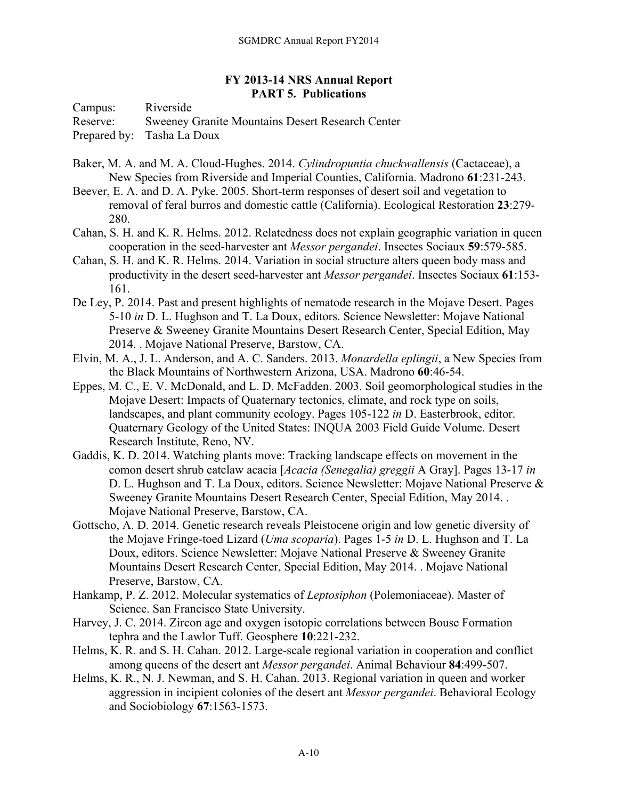## **FY 2013-14 NRS Annual Report PART 5. Publications**

Campus: Riverside Reserve: Sweeney Granite Mountains Desert Research Center Prepared by: Tasha La Doux

- Baker, M. A. and M. A. Cloud-Hughes. 2014. *Cylindropuntia chuckwallensis* (Cactaceae), a New Species from Riverside and Imperial Counties, California. Madrono **61**:231-243.
- Beever, E. A. and D. A. Pyke. 2005. Short-term responses of desert soil and vegetation to removal of feral burros and domestic cattle (California). Ecological Restoration **23**:279- 280.
- Cahan, S. H. and K. R. Helms. 2012. Relatedness does not explain geographic variation in queen cooperation in the seed-harvester ant *Messor pergandei*. Insectes Sociaux **59**:579-585.
- Cahan, S. H. and K. R. Helms. 2014. Variation in social structure alters queen body mass and productivity in the desert seed-harvester ant *Messor pergandei*. Insectes Sociaux **61**:153- 161.
- De Ley, P. 2014. Past and present highlights of nematode research in the Mojave Desert. Pages 5-10 *in* D. L. Hughson and T. La Doux, editors. Science Newsletter: Mojave National Preserve & Sweeney Granite Mountains Desert Research Center, Special Edition, May 2014. . Mojave National Preserve, Barstow, CA.
- Elvin, M. A., J. L. Anderson, and A. C. Sanders. 2013. *Monardella eplingii*, a New Species from the Black Mountains of Northwestern Arizona, USA. Madrono **60**:46-54.
- Eppes, M. C., E. V. McDonald, and L. D. McFadden. 2003. Soil geomorphological studies in the Mojave Desert: Impacts of Quaternary tectonics, climate, and rock type on soils, landscapes, and plant community ecology. Pages 105-122 *in* D. Easterbrook, editor. Quaternary Geology of the United States: INQUA 2003 Field Guide Volume. Desert Research Institute, Reno, NV.
- Gaddis, K. D. 2014. Watching plants move: Tracking landscape effects on movement in the comon desert shrub catclaw acacia [*Acacia (Senegalia) greggii* A Gray]. Pages 13-17 *in* D. L. Hughson and T. La Doux, editors. Science Newsletter: Mojave National Preserve & Sweeney Granite Mountains Desert Research Center, Special Edition, May 2014. . Mojave National Preserve, Barstow, CA.
- Gottscho, A. D. 2014. Genetic research reveals Pleistocene origin and low genetic diversity of the Mojave Fringe-toed Lizard (*Uma scoparia*). Pages 1-5 *in* D. L. Hughson and T. La Doux, editors. Science Newsletter: Mojave National Preserve & Sweeney Granite Mountains Desert Research Center, Special Edition, May 2014. . Mojave National Preserve, Barstow, CA.
- Hankamp, P. Z. 2012. Molecular systematics of *Leptosiphon* (Polemoniaceae). Master of Science. San Francisco State University.
- Harvey, J. C. 2014. Zircon age and oxygen isotopic correlations between Bouse Formation tephra and the Lawlor Tuff. Geosphere **10**:221-232.
- Helms, K. R. and S. H. Cahan. 2012. Large-scale regional variation in cooperation and conflict among queens of the desert ant *Messor pergandei*. Animal Behaviour **84**:499-507.
- Helms, K. R., N. J. Newman, and S. H. Cahan. 2013. Regional variation in queen and worker aggression in incipient colonies of the desert ant *Messor pergandei*. Behavioral Ecology and Sociobiology **67**:1563-1573.